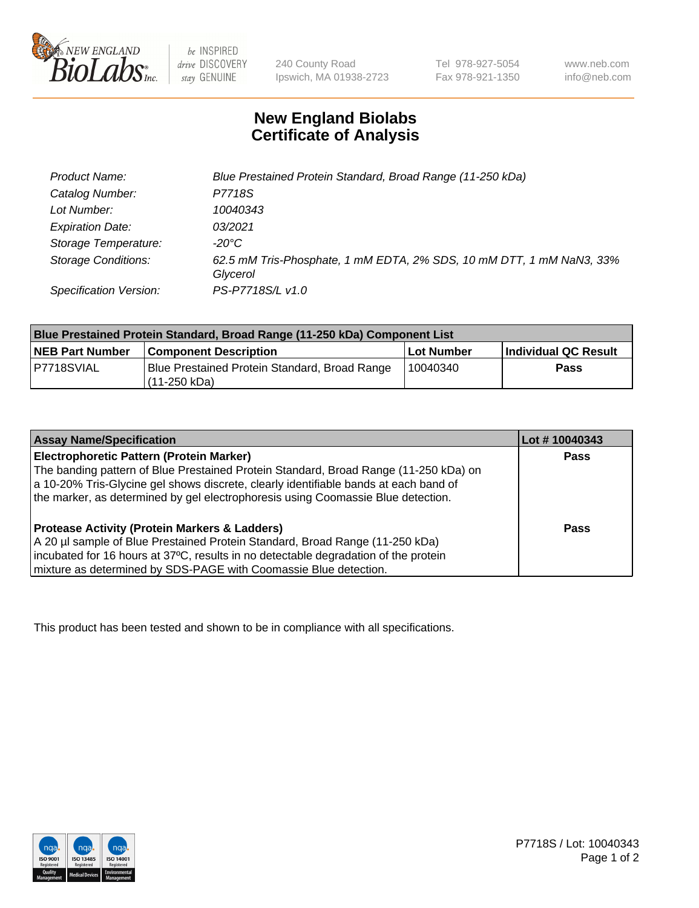

be INSPIRED drive DISCOVERY stay GENUINE

240 County Road Ipswich, MA 01938-2723 Tel 978-927-5054 Fax 978-921-1350

www.neb.com info@neb.com

## **New England Biolabs Certificate of Analysis**

| Product Name:              | Blue Prestained Protein Standard, Broad Range (11-250 kDa)                       |
|----------------------------|----------------------------------------------------------------------------------|
| Catalog Number:            | P7718S                                                                           |
| Lot Number:                | 10040343                                                                         |
| <b>Expiration Date:</b>    | 03/2021                                                                          |
| Storage Temperature:       | -20°C                                                                            |
| <b>Storage Conditions:</b> | 62.5 mM Tris-Phosphate, 1 mM EDTA, 2% SDS, 10 mM DTT, 1 mM NaN3, 33%<br>Glycerol |
| Specification Version:     | PS-P7718S/L v1.0                                                                 |

| Blue Prestained Protein Standard, Broad Range (11-250 kDa) Component List |                                                                 |              |                      |  |
|---------------------------------------------------------------------------|-----------------------------------------------------------------|--------------|----------------------|--|
| <b>NEB Part Number</b>                                                    | <b>Component Description</b>                                    | l Lot Number | Individual QC Result |  |
| P7718SVIAL                                                                | Blue Prestained Protein Standard, Broad Range<br>l (11-250 kDa) | 10040340     | <b>Pass</b>          |  |

| <b>Assay Name/Specification</b>                                                      | Lot #10040343 |
|--------------------------------------------------------------------------------------|---------------|
| <b>Electrophoretic Pattern (Protein Marker)</b>                                      | <b>Pass</b>   |
| The banding pattern of Blue Prestained Protein Standard, Broad Range (11-250 kDa) on |               |
| a 10-20% Tris-Glycine gel shows discrete, clearly identifiable bands at each band of |               |
| the marker, as determined by gel electrophoresis using Coomassie Blue detection.     |               |
|                                                                                      |               |
| <b>Protease Activity (Protein Markers &amp; Ladders)</b>                             | <b>Pass</b>   |
| A 20 µl sample of Blue Prestained Protein Standard, Broad Range (11-250 kDa)         |               |
| incubated for 16 hours at 37°C, results in no detectable degradation of the protein  |               |
| mixture as determined by SDS-PAGE with Coomassie Blue detection.                     |               |

This product has been tested and shown to be in compliance with all specifications.